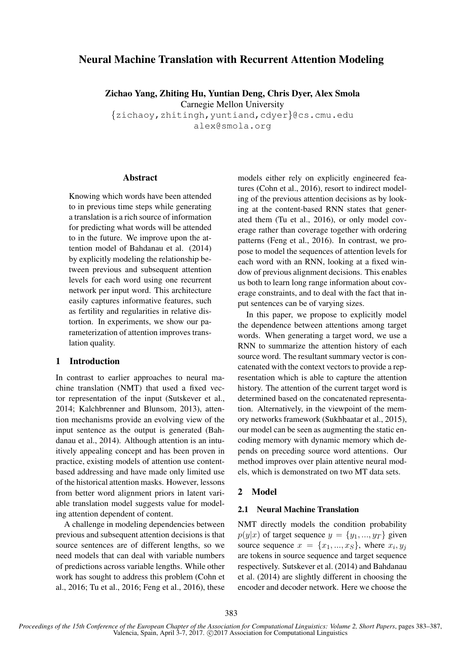# Neural Machine Translation with Recurrent Attention Modeling

Zichao Yang, Zhiting Hu, Yuntian Deng, Chris Dyer, Alex Smola

Carnegie Mellon University

{zichaoy,zhitingh,yuntiand,cdyer}@cs.cmu.edu alex@smola.org

## Abstract

Knowing which words have been attended to in previous time steps while generating a translation is a rich source of information for predicting what words will be attended to in the future. We improve upon the attention model of Bahdanau et al. (2014) by explicitly modeling the relationship between previous and subsequent attention levels for each word using one recurrent network per input word. This architecture easily captures informative features, such as fertility and regularities in relative distortion. In experiments, we show our parameterization of attention improves translation quality.

# 1 Introduction

In contrast to earlier approaches to neural machine translation (NMT) that used a fixed vector representation of the input (Sutskever et al., 2014; Kalchbrenner and Blunsom, 2013), attention mechanisms provide an evolving view of the input sentence as the output is generated (Bahdanau et al., 2014). Although attention is an intuitively appealing concept and has been proven in practice, existing models of attention use contentbased addressing and have made only limited use of the historical attention masks. However, lessons from better word alignment priors in latent variable translation model suggests value for modeling attention dependent of content.

A challenge in modeling dependencies between previous and subsequent attention decisions is that source sentences are of different lengths, so we need models that can deal with variable numbers of predictions across variable lengths. While other work has sought to address this problem (Cohn et al., 2016; Tu et al., 2016; Feng et al., 2016), these

models either rely on explicitly engineered features (Cohn et al., 2016), resort to indirect modeling of the previous attention decisions as by looking at the content-based RNN states that generated them (Tu et al., 2016), or only model coverage rather than coverage together with ordering patterns (Feng et al., 2016). In contrast, we propose to model the sequences of attention levels for each word with an RNN, looking at a fixed window of previous alignment decisions. This enables us both to learn long range information about coverage constraints, and to deal with the fact that input sentences can be of varying sizes.

In this paper, we propose to explicitly model the dependence between attentions among target words. When generating a target word, we use a RNN to summarize the attention history of each source word. The resultant summary vector is concatenated with the context vectors to provide a representation which is able to capture the attention history. The attention of the current target word is determined based on the concatenated representation. Alternatively, in the viewpoint of the memory networks framework (Sukhbaatar et al., 2015), our model can be seen as augmenting the static encoding memory with dynamic memory which depends on preceding source word attentions. Our method improves over plain attentive neural models, which is demonstrated on two MT data sets.

### 2 Model

# 2.1 Neural Machine Translation

NMT directly models the condition probability  $p(y|x)$  of target sequence  $y = \{y_1, ..., y_T\}$  given source sequence  $x = \{x_1, ..., x_S\}$ , where  $x_i, y_j$ are tokens in source sequence and target sequence respectively. Sutskever et al. (2014) and Bahdanau et al. (2014) are slightly different in choosing the encoder and decoder network. Here we choose the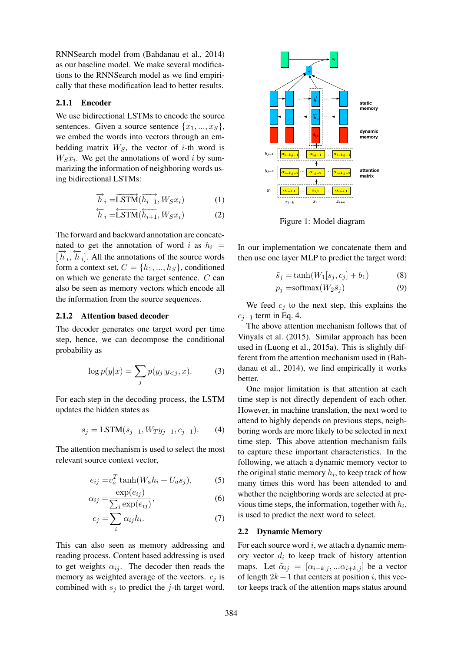RNNSearch model from (Bahdanau et al., 2014) as our baseline model. We make several modifications to the RNNSearch model as we find empirically that these modification lead to better results.

# 2.1.1 Encoder

We use bidirectional LSTMs to encode the source sentences. Given a source sentence  $\{x_1, ..., x_S\},\$ we embed the words into vectors through an embedding matrix  $W<sub>S</sub>$ , the vector of *i*-th word is  $W_S x_i$ . We get the annotations of word i by summarizing the information of neighboring words using bidirectional LSTMs:

$$
\overrightarrow{h}_i = \overrightarrow{\text{LSTM}}(\overrightarrow{h_{i-1}}, W_S x_i)
$$
 (1)

$$
\overleftarrow{h}_i = \overleftarrow{\text{LSTM}}(\overleftarrow{h}_{i+1}, W_S x_i)
$$
 (2)

The forward and backward annotation are concatenated to get the annotation of word i as  $h_i$  =  $[\vec{h}_i, \vec{h}_i]$ . All the annotations of the source words form a context set,  $C = \{h_1, ..., h_S\}$ , conditioned on which we generate the target sentence. C can also be seen as memory vectors which encode all the information from the source sequences.

### 2.1.2 Attention based decoder

The decoder generates one target word per time step, hence, we can decompose the conditional probability as

$$
\log p(y|x) = \sum_{j} p(y_j|y_{
$$

For each step in the decoding process, the LSTM updates the hidden states as

$$
s_j = \text{LSTM}(s_{j-1}, W_T y_{j-1}, c_{j-1}).\tag{4}
$$

The attention mechanism is used to select the most relevant source context vector,

$$
e_{ij} = v_a^T \tanh(W_a h_i + U_a s_j), \tag{5}
$$

$$
\alpha_{ij} = \frac{\exp(e_{ij})}{\sum_{i} \exp(e_{ij})},\tag{6}
$$

$$
c_j = \sum_i \alpha_{ij} h_i. \tag{7}
$$

This can also seen as memory addressing and reading process. Content based addressing is used to get weights  $\alpha_{ij}$ . The decoder then reads the memory as weighted average of the vectors.  $c_j$  is combined with  $s_i$  to predict the j-th target word.



Figure 1: Model diagram

In our implementation we concatenate them and then use one layer MLP to predict the target word:

$$
\tilde{s}_j = \tanh(W_1[s_j, c_j] + b_1) \tag{8}
$$

$$
p_j = \text{softmax}(W_2 \tilde{s}_j) \tag{9}
$$

We feed  $c_i$  to the next step, this explains the  $c_{i-1}$  term in Eq. 4.

The above attention mechanism follows that of Vinyals et al. (2015). Similar approach has been used in (Luong et al., 2015a). This is slightly different from the attention mechanism used in (Bahdanau et al., 2014), we find empirically it works better.

One major limitation is that attention at each time step is not directly dependent of each other. However, in machine translation, the next word to attend to highly depends on previous steps, neighboring words are more likely to be selected in next time step. This above attention mechanism fails to capture these important characteristics. In the following, we attach a dynamic memory vector to the original static memory  $h_i$ , to keep track of how many times this word has been attended to and whether the neighboring words are selected at previous time steps, the information, together with  $h_i$ , is used to predict the next word to select.

## 2.2 Dynamic Memory

For each source word  $i$ , we attach a dynamic memory vector  $d_i$  to keep track of history attention maps. Let  $\tilde{\alpha}_{ij} = [\alpha_{i-k,j},...\alpha_{i+k,j}]$  be a vector of length  $2k + 1$  that centers at position i, this vector keeps track of the attention maps status around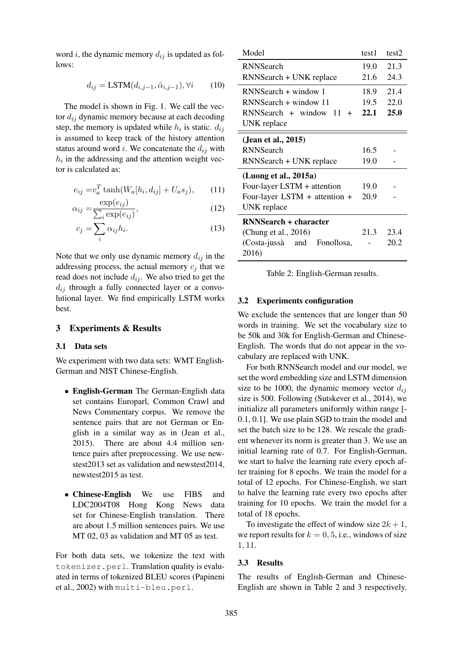word i, the dynamic memory  $d_{ij}$  is updated as follows:

$$
d_{ij} = \text{LSTM}(d_{i,j-1}, \tilde{\alpha}_{i,j-1}), \forall i \qquad (10)
$$

The model is shown in Fig. 1. We call the vector  $d_{ij}$  dynamic memory because at each decoding step, the memory is updated while  $h_i$  is static.  $d_{ij}$ is assumed to keep track of the history attention status around word i. We concatenate the  $d_{ij}$  with  $h_i$  in the addressing and the attention weight vector is calculated as:

$$
e_{ij} = v_a^T \tanh(W_a[h_i, d_{ij}] + U_a s_j), \qquad (11)
$$

$$
\alpha_{ij} = \frac{\exp(e_{ij})}{\sum_{i} \exp(e_{ij})},\tag{12}
$$

$$
c_j = \sum_i \alpha_{ij} h_i.
$$
 (13)

Note that we only use dynamic memory  $d_{ij}$  in the addressing process, the actual memory  $c_j$  that we read does not include  $d_{ij}$ . We also tried to get the  $d_{ij}$  through a fully connected layer or a convolutional layer. We find empirically LSTM works best.

# 3 Experiments & Results

#### 3.1 Data sets

We experiment with two data sets: WMT English-German and NIST Chinese-English.

- English-German The German-English data set contains Europarl, Common Crawl and News Commentary corpus. We remove the sentence pairs that are not German or English in a similar way as in (Jean et al., 2015). There are about 4.4 million sentence pairs after preprocessing. We use newstest2013 set as validation and newstest2014, newstest2015 as test.
- Chinese-English We use FIBS and LDC2004T08 Hong Kong News data set for Chinese-English translation. There are about 1.5 million sentences pairs. We use MT 02, 03 as validation and MT 05 as test.

For both data sets, we tokenize the text with tokenizer.perl. Translation quality is evaluated in terms of tokenized BLEU scores (Papineni et al., 2002) with multi-bleu.perl.

| Model                                | test1 | test2 |  |
|--------------------------------------|-------|-------|--|
| <b>RNNSearch</b>                     | 19.0  | 21.3  |  |
| RNNSearch + UNK replace              | 21.6  | 24.3  |  |
| $RNNSearch + window 1$               | 18.9  | 214   |  |
| $RNNSearch + window 11$              | 19.5  | 22.0  |  |
| $RNNSearch + window$<br>11<br>$\div$ | 22.1  | 25.0  |  |
| <b>UNK</b> replace                   |       |       |  |
| (Jean et al., 2015)                  |       |       |  |
| <b>RNNSearch</b>                     | 16.5  |       |  |
| RNNSearch + UNK replace              | 19.0  |       |  |
| (Luong et al., $2015a$ )             |       |       |  |
| Four-layer LSTM + attention          | 19.0  |       |  |
| Four-layer LSTM + attention +        | 20.9  |       |  |
| UNK replace                          |       |       |  |
| <b>RNNSearch + character</b>         |       |       |  |
| (Chung et al., 2016)                 | 21.3  | 23.4  |  |
| (Costa-jussà<br>and<br>Fonollosa,    |       | 20.2  |  |
| 2016)                                |       |       |  |

Table 2: English-German results.

#### 3.2 Experiments configuration

We exclude the sentences that are longer than 50 words in training. We set the vocabulary size to be 50k and 30k for English-German and Chinese-English. The words that do not appear in the vocabulary are replaced with UNK.

For both RNNSearch model and our model, we set the word embedding size and LSTM dimension size to be 1000, the dynamic memory vector  $d_{ij}$ size is 500. Following (Sutskever et al., 2014), we initialize all parameters uniformly within range [- 0.1, 0.1]. We use plain SGD to train the model and set the batch size to be 128. We rescale the gradient whenever its norm is greater than 3. We use an initial learning rate of 0.7. For English-German, we start to halve the learning rate every epoch after training for 8 epochs. We train the model for a total of 12 epochs. For Chinese-English, we start to halve the learning rate every two epochs after training for 10 epochs. We train the model for a total of 18 epochs.

To investigate the effect of window size  $2k + 1$ , we report results for  $k = 0, 5$ , i.e., windows of size 1, 11.

### 3.3 Results

The results of English-German and Chinese-English are shown in Table 2 and 3 respectively.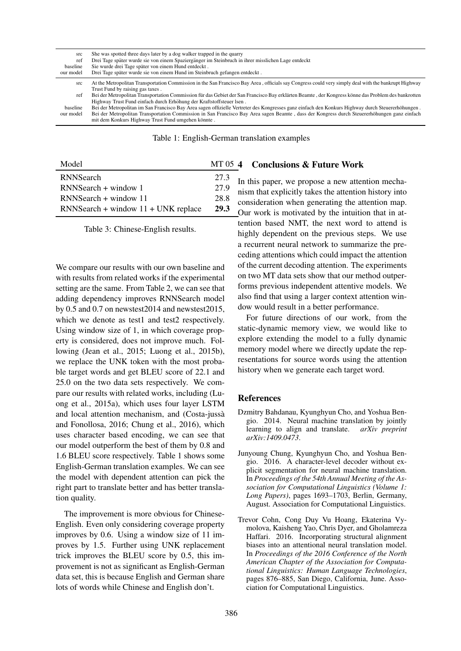| src<br>ref<br>baseline<br>our model | She was spotted three days later by a dog walker trapped in the quarry<br>Drei Tage später wurde sie von einem Spaziergänger im Steinbruch in ihrer misslichen Lage entdeckt<br>Sie wurde drei Tage später von einem Hund entdeckt.<br>Drei Tage später wurde sie von einem Hund im Steinbruch gefangen entdeckt. |
|-------------------------------------|-------------------------------------------------------------------------------------------------------------------------------------------------------------------------------------------------------------------------------------------------------------------------------------------------------------------|
| src                                 | At the Metropolitan Transportation Commission in the San Francisco Bay Area, officials say Congress could very simply deal with the bankrupt Highway<br>Trust Fund by raising gas taxes.                                                                                                                          |
| ref                                 | Bei der Metropolitan Transportation Commission für das Gebiet der San Francisco Bay erklärten Beamte, der Kongress könne das Problem des bankrotten<br>Highway Trust Fund einfach durch Erhöhung der Kraftstoffsteuer Isen.                                                                                       |
| baseline                            | Bei der Metropolitan im San Francisco Bay Area sagen offizielle Vertreter des Kongresses ganz einfach den Konkurs Highway durch Steuererhöhungen.                                                                                                                                                                 |
| our model                           | Bei der Metropolitan Transportation Commission in San Francisco Bay Area sagen Beamte, dass der Kongress durch Steuererhöhungen ganz einfach<br>mit dem Konkurs Highway Trust Fund umgehen könnte.                                                                                                                |

Table 1: English-German translation examples

| Model                                 | MT 05 4        |
|---------------------------------------|----------------|
| RNNSearch                             | 27.3 $I_n$     |
| $RNNSearch + window 1$                | 27.9<br>nis    |
| $RNNSearch + window 11$               | 28.8<br>$\cot$ |
| $RNNSearch + window 11 + UNK replace$ | 29.3           |

Table 3: Chinese-English results.

We compare our results with our own baseline and with results from related works if the experimental setting are the same. From Table 2, we can see that adding dependency improves RNNSearch model by 0.5 and 0.7 on newstest2014 and newstest2015, which we denote as test1 and test2 respectively. Using window size of 1, in which coverage property is considered, does not improve much. Following (Jean et al., 2015; Luong et al., 2015b), we replace the UNK token with the most probable target words and get BLEU score of 22.1 and 25.0 on the two data sets respectively. We compare our results with related works, including (Luong et al., 2015a), which uses four layer LSTM and local attention mechanism, and (Costa-jussa` and Fonollosa, 2016; Chung et al., 2016), which uses character based encoding, we can see that our model outperform the best of them by 0.8 and 1.6 BLEU score respectively. Table 1 shows some English-German translation examples. We can see the model with dependent attention can pick the right part to translate better and has better translation quality.

The improvement is more obvious for Chinese-English. Even only considering coverage property improves by 0.6. Using a window size of 11 improves by 1.5. Further using UNK replacement trick improves the BLEU score by 0.5, this improvement is not as significant as English-German data set, this is because English and German share lots of words while Chinese and English don't.

# **Conclusions & Future Work**

this paper, we propose a new attention mecham that explicitly takes the attention history into nsideration when generating the attention map. In work is motivated by the intuition that in attention based NMT, the next word to attend is highly dependent on the previous steps. We use a recurrent neural network to summarize the preceding attentions which could impact the attention of the current decoding attention. The experiments on two MT data sets show that our method outperforms previous independent attentive models. We also find that using a larger context attention window would result in a better performance.

For future directions of our work, from the static-dynamic memory view, we would like to explore extending the model to a fully dynamic memory model where we directly update the representations for source words using the attention history when we generate each target word.

#### References

- Dzmitry Bahdanau, Kyunghyun Cho, and Yoshua Bengio. 2014. Neural machine translation by jointly learning to align and translate. *arXiv preprint arXiv:1409.0473*.
- Junyoung Chung, Kyunghyun Cho, and Yoshua Bengio. 2016. A character-level decoder without explicit segmentation for neural machine translation. In *Proceedings of the 54th Annual Meeting of the Association for Computational Linguistics (Volume 1: Long Papers)*, pages 1693–1703, Berlin, Germany, August. Association for Computational Linguistics.
- Trevor Cohn, Cong Duy Vu Hoang, Ekaterina Vymolova, Kaisheng Yao, Chris Dyer, and Gholamreza Haffari. 2016. Incorporating structural alignment biases into an attentional neural translation model. In *Proceedings of the 2016 Conference of the North American Chapter of the Association for Computational Linguistics: Human Language Technologies*, pages 876–885, San Diego, California, June. Association for Computational Linguistics.